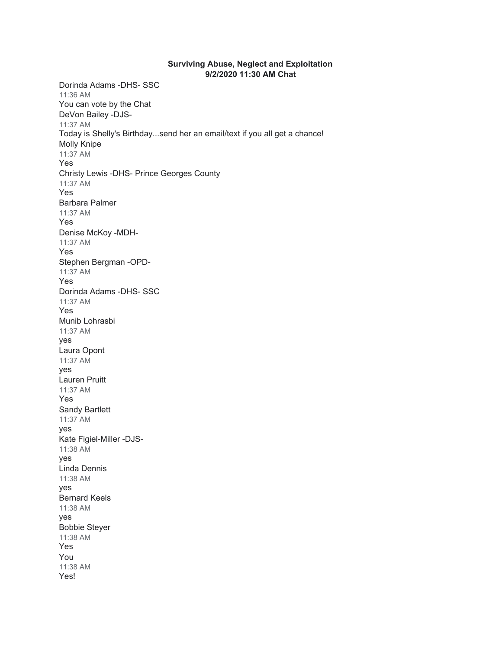## **Surviving Abuse, Neglect and Exploitation 9/2/2020 11:30 AM Chat**

Dorinda Adams -DHS- SSC 11:36 AM You can vote by the Chat DeVon Bailey -DJS-11:37 AM Today is Shelly's Birthday...send her an email/text if you all get a chance! Molly Knipe 11:37 AM Yes Christy Lewis -DHS- Prince Georges County 11:37 AM Yes Barbara Palmer 11:37 AM Yes Denise McKoy -MDH-11:37 AM Yes Stephen Bergman -OPD-11:37 AM Yes Dorinda Adams -DHS- SSC 11:37 AM Yes Munib Lohrasbi 11:37 AM yes Laura Opont 11:37 AM yes Lauren Pruitt 11:37 AM Yes Sandy Bartlett 11:37 AM yes Kate Figiel-Miller -DJS-11:38 AM yes Linda Dennis 11:38 AM yes Bernard Keels 11:38 AM yes Bobbie Steyer 11:38 AM Yes You 11:38 AM Yes!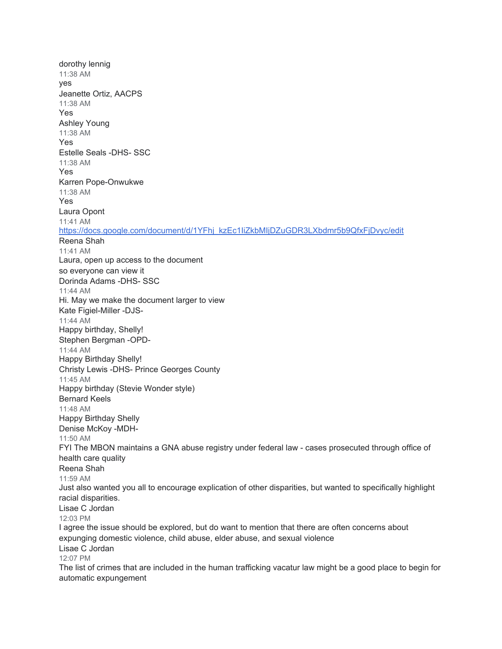dorothy lennig 11:38 AM yes Jeanette Ortiz, AACPS 11:38 AM Yes Ashley Young 11:38 AM Yes Estelle Seals -DHS- SSC 11:38 AM Yes Karren Pope-Onwukwe 11:38 AM Yes Laura Opont 11:41 AM [https://docs.google.com/document/d/1YFhj\\_kzEc1IiZkbMIjDZuGDR3LXbdmr5b9QfxFjDvyc/edit](https://meet.google.com/linkredirect?authuser=1&dest=https%3A%2F%2Fdocs.google.com%2Fdocument%2Fd%2F1YFhj_kzEc1IiZkbMIjDZuGDR3LXbdmr5b9QfxFjDvyc%2Fedit) Reena Shah 11:41 AM Laura, open up access to the document so everyone can view it Dorinda Adams -DHS- SSC 11:44 AM Hi. May we make the document larger to view Kate Figiel-Miller -DJS-11:44 AM Happy birthday, Shelly! Stephen Bergman -OPD-11:44 AM Happy Birthday Shelly! Christy Lewis -DHS- Prince Georges County 11:45 AM Happy birthday (Stevie Wonder style) Bernard Keels 11:48 AM Happy Birthday Shelly Denise McKoy -MDH-11:50 AM FYI The MBON maintains a GNA abuse registry under federal law - cases prosecuted through office of health care quality Reena Shah 11:59 AM Just also wanted you all to encourage explication of other disparities, but wanted to specifically highlight racial disparities. Lisae C Jordan 12:03 PM I agree the issue should be explored, but do want to mention that there are often concerns about expunging domestic violence, child abuse, elder abuse, and sexual violence Lisae C Jordan 12:07 PM The list of crimes that are included in the human trafficking vacatur law might be a good place to begin for automatic expungement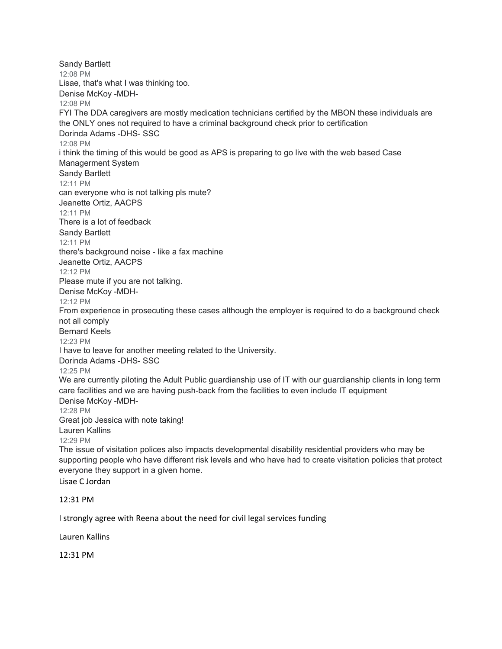Sandy Bartlett 12:08 PM Lisae, that's what I was thinking too. Denise McKoy -MDH-12:08 PM FYI The DDA caregivers are mostly medication technicians certified by the MBON these individuals are the ONLY ones not required to have a criminal background check prior to certification Dorinda Adams -DHS- SSC 12:08 PM i think the timing of this would be good as APS is preparing to go live with the web based Case Managerment System Sandy Bartlett 12:11 PM can everyone who is not talking pls mute? Jeanette Ortiz, AACPS 12:11 PM There is a lot of feedback Sandy Bartlett 12:11 PM there's background noise - like a fax machine Jeanette Ortiz, AACPS 12:12 PM Please mute if you are not talking. Denise McKoy -MDH-12:12 PM From experience in prosecuting these cases although the employer is required to do a background check not all comply Bernard Keels 12:23 PM I have to leave for another meeting related to the University. Dorinda Adams -DHS- SSC 12:25 PM We are currently piloting the Adult Public guardianship use of IT with our guardianship clients in long term care facilities and we are having push-back from the facilities to even include IT equipment Denise McKoy -MDH-12:28 PM Great job Jessica with note taking! Lauren Kallins 12:29 PM The issue of visitation polices also impacts developmental disability residential providers who may be supporting people who have different risk levels and who have had to create visitation policies that protect everyone they support in a given home. Lisae C Jordan

12:31 PM

I strongly agree with Reena about the need for civil legal services funding

Lauren Kallins

12:31 PM